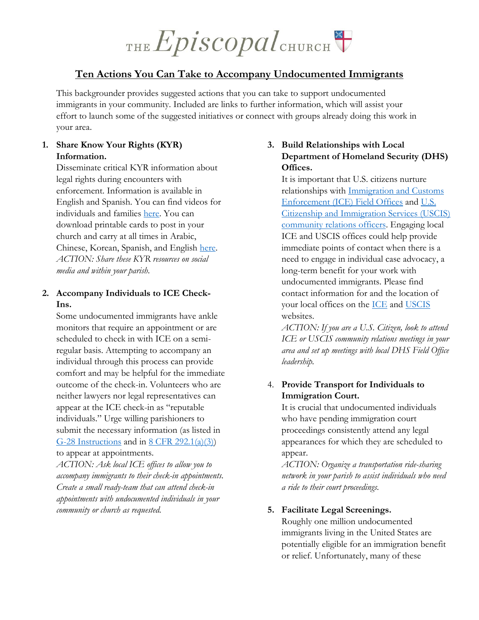# THE Episcopal CHURCH

# **Ten Actions You Can Take to Accompany Undocumented Immigrants**

This backgrounder provides suggested actions that you can take to support undocumented immigrants in your community. Included are links to further information, which will assist your effort to launch some of the suggested initiatives or connect with groups already doing this work in your area.

## **1. Share Know Your Rights (KYR) Information.**

Disseminate critical KYR information about legal rights during encounters with enforcement. Information is available in English and Spanish. You can find videos for individuals and families [here.](https://www.informedimmigrant.com/) You can download printable cards to post in your church and carry at all times in Arabic, Chinese, Korean, Spanish, and English [here.](https://unitedwedream.org/thank-deportation-defense-card-handy-phone/) *ACTION: Share these KYR resources on social media and within your parish.* 

#### **2. Accompany Individuals to ICE Check-Ins.**

Some undocumented immigrants have ankle monitors that require an appointment or are scheduled to check in with ICE on a semiregular basis. Attempting to accompany an individual through this process can provide comfort and may be helpful for the immediate outcome of the check-in. Volunteers who are neither lawyers nor legal representatives can appear at the ICE check-in as "reputable individuals." Urge willing parishioners to submit the necessary information (as listed in [G-28 Instructions](https://www.uscis.gov/sites/default/files/files/form/g-28instr.pdf) and in  $8$  CFR 292.1(a)(3)) to appear at appointments.

*ACTION: Ask local ICE offices to allow you to accompany immigrants to their check-in appointments. Create a small ready-team that can attend check-in appointments with undocumented individuals in your community or church as requested.* 

#### **3. Build Relationships with Local Department of Homeland Security (DHS) Offices.**

It is important that U.S. citizens nurture relationships with [Immigration and Customs](https://www.ice.gov/contact/oce)  [Enforcement \(ICE\) Field Offices](https://www.ice.gov/contact/oce) and [U.S.](https://www.uscis.gov/about-us/find-uscis-office/field-offices)  [Citizenship and Immigration Services \(USCIS\)](https://www.uscis.gov/about-us/find-uscis-office/field-offices)  [community relations officers.](https://www.uscis.gov/about-us/find-uscis-office/field-offices) Engaging local ICE and USCIS offices could help provide immediate points of contact when there is a need to engage in individual case advocacy, a long-term benefit for your work with undocumented immigrants. Please find contact information for and the location of your local offices on the [ICE](https://www.ice.gov/contact/field-offices) and [USCIS](https://www.uscis.gov/about-us/find-uscis-office/field-offices) websites.

*ACTION: If you are a U.S. Citizen, look to attend ICE or USCIS community relations meetings in your area and set up meetings with local DHS Field Office leadership.* 

## 4. **Provide Transport for Individuals to Immigration Court.**

It is crucial that undocumented individuals who have pending immigration court proceedings consistently attend any legal appearances for which they are scheduled to appear.

*ACTION: Organize a transportation ride-sharing network in your parish to assist individuals who need a ride to their court proceedings.* 

#### **5. Facilitate Legal Screenings.**

Roughly one million undocumented immigrants living in the United States are potentially eligible for an immigration benefit or relief. Unfortunately, many of these